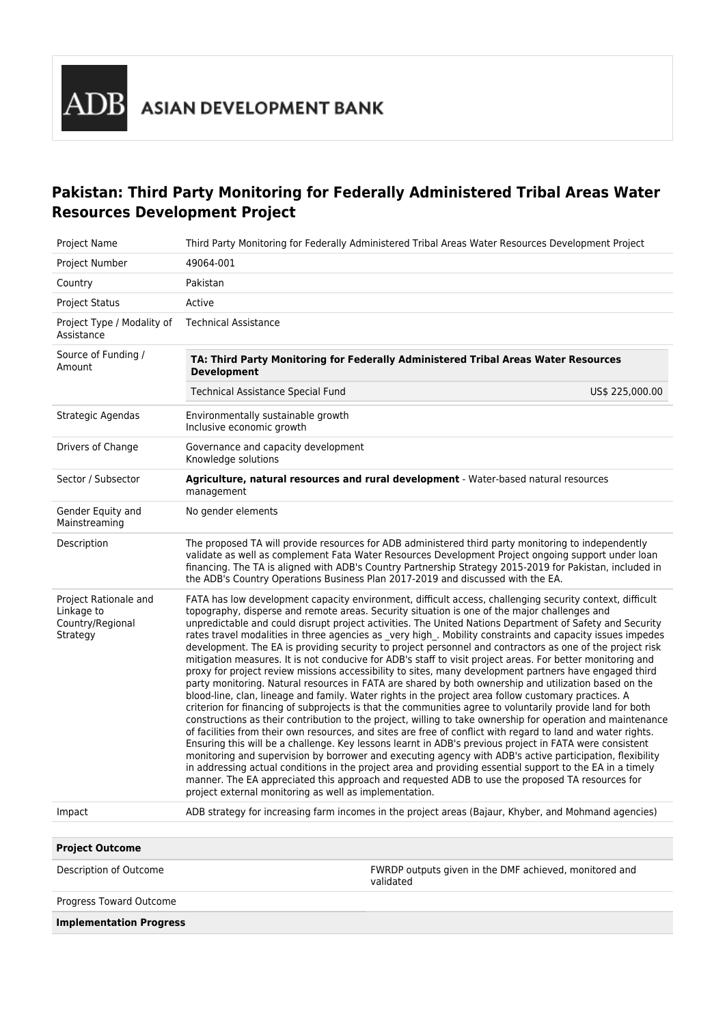## **Pakistan: Third Party Monitoring for Federally Administered Tribal Areas Water Resources Development Project**

| <b>Project Name</b>                                                 | Third Party Monitoring for Federally Administered Tribal Areas Water Resources Development Project                                                                                                                                                                                                                                                                                                                                                                                                                                                                                                                                                                                                                                                                                                                                                                                                                                                                                                                                                                                                                                                                                                                                                                                                                                                                                                                                                                                                                                                                                                                                                                                                                                                                                                                                    |
|---------------------------------------------------------------------|---------------------------------------------------------------------------------------------------------------------------------------------------------------------------------------------------------------------------------------------------------------------------------------------------------------------------------------------------------------------------------------------------------------------------------------------------------------------------------------------------------------------------------------------------------------------------------------------------------------------------------------------------------------------------------------------------------------------------------------------------------------------------------------------------------------------------------------------------------------------------------------------------------------------------------------------------------------------------------------------------------------------------------------------------------------------------------------------------------------------------------------------------------------------------------------------------------------------------------------------------------------------------------------------------------------------------------------------------------------------------------------------------------------------------------------------------------------------------------------------------------------------------------------------------------------------------------------------------------------------------------------------------------------------------------------------------------------------------------------------------------------------------------------------------------------------------------------|
| Project Number                                                      | 49064-001                                                                                                                                                                                                                                                                                                                                                                                                                                                                                                                                                                                                                                                                                                                                                                                                                                                                                                                                                                                                                                                                                                                                                                                                                                                                                                                                                                                                                                                                                                                                                                                                                                                                                                                                                                                                                             |
| Country                                                             | Pakistan                                                                                                                                                                                                                                                                                                                                                                                                                                                                                                                                                                                                                                                                                                                                                                                                                                                                                                                                                                                                                                                                                                                                                                                                                                                                                                                                                                                                                                                                                                                                                                                                                                                                                                                                                                                                                              |
| <b>Project Status</b>                                               | Active                                                                                                                                                                                                                                                                                                                                                                                                                                                                                                                                                                                                                                                                                                                                                                                                                                                                                                                                                                                                                                                                                                                                                                                                                                                                                                                                                                                                                                                                                                                                                                                                                                                                                                                                                                                                                                |
| Project Type / Modality of<br>Assistance                            | <b>Technical Assistance</b>                                                                                                                                                                                                                                                                                                                                                                                                                                                                                                                                                                                                                                                                                                                                                                                                                                                                                                                                                                                                                                                                                                                                                                                                                                                                                                                                                                                                                                                                                                                                                                                                                                                                                                                                                                                                           |
| Source of Funding /<br>Amount                                       | TA: Third Party Monitoring for Federally Administered Tribal Areas Water Resources<br><b>Development</b>                                                                                                                                                                                                                                                                                                                                                                                                                                                                                                                                                                                                                                                                                                                                                                                                                                                                                                                                                                                                                                                                                                                                                                                                                                                                                                                                                                                                                                                                                                                                                                                                                                                                                                                              |
|                                                                     | Technical Assistance Special Fund<br>US\$ 225,000.00                                                                                                                                                                                                                                                                                                                                                                                                                                                                                                                                                                                                                                                                                                                                                                                                                                                                                                                                                                                                                                                                                                                                                                                                                                                                                                                                                                                                                                                                                                                                                                                                                                                                                                                                                                                  |
| Strategic Agendas                                                   | Environmentally sustainable growth<br>Inclusive economic growth                                                                                                                                                                                                                                                                                                                                                                                                                                                                                                                                                                                                                                                                                                                                                                                                                                                                                                                                                                                                                                                                                                                                                                                                                                                                                                                                                                                                                                                                                                                                                                                                                                                                                                                                                                       |
| Drivers of Change                                                   | Governance and capacity development<br>Knowledge solutions                                                                                                                                                                                                                                                                                                                                                                                                                                                                                                                                                                                                                                                                                                                                                                                                                                                                                                                                                                                                                                                                                                                                                                                                                                                                                                                                                                                                                                                                                                                                                                                                                                                                                                                                                                            |
| Sector / Subsector                                                  | Agriculture, natural resources and rural development - Water-based natural resources<br>management                                                                                                                                                                                                                                                                                                                                                                                                                                                                                                                                                                                                                                                                                                                                                                                                                                                                                                                                                                                                                                                                                                                                                                                                                                                                                                                                                                                                                                                                                                                                                                                                                                                                                                                                    |
| Gender Equity and<br>Mainstreaming                                  | No gender elements                                                                                                                                                                                                                                                                                                                                                                                                                                                                                                                                                                                                                                                                                                                                                                                                                                                                                                                                                                                                                                                                                                                                                                                                                                                                                                                                                                                                                                                                                                                                                                                                                                                                                                                                                                                                                    |
| Description                                                         | The proposed TA will provide resources for ADB administered third party monitoring to independently<br>validate as well as complement Fata Water Resources Development Project ongoing support under loan<br>financing. The TA is aligned with ADB's Country Partnership Strategy 2015-2019 for Pakistan, included in<br>the ADB's Country Operations Business Plan 2017-2019 and discussed with the EA.                                                                                                                                                                                                                                                                                                                                                                                                                                                                                                                                                                                                                                                                                                                                                                                                                                                                                                                                                                                                                                                                                                                                                                                                                                                                                                                                                                                                                              |
| Project Rationale and<br>Linkage to<br>Country/Regional<br>Strategy | FATA has low development capacity environment, difficult access, challenging security context, difficult<br>topography, disperse and remote areas. Security situation is one of the major challenges and<br>unpredictable and could disrupt project activities. The United Nations Department of Safety and Security<br>rates travel modalities in three agencies as _very high_. Mobility constraints and capacity issues impedes<br>development. The EA is providing security to project personnel and contractors as one of the project risk<br>mitigation measures. It is not conducive for ADB's staff to visit project areas. For better monitoring and<br>proxy for project review missions accessibility to sites, many development partners have engaged third<br>party monitoring. Natural resources in FATA are shared by both ownership and utilization based on the<br>blood-line, clan, lineage and family. Water rights in the project area follow customary practices. A<br>criterion for financing of subprojects is that the communities agree to voluntarily provide land for both<br>constructions as their contribution to the project, willing to take ownership for operation and maintenance<br>of facilities from their own resources, and sites are free of conflict with regard to land and water rights.<br>Ensuring this will be a challenge. Key lessons learnt in ADB's previous project in FATA were consistent<br>monitoring and supervision by borrower and executing agency with ADB's active participation, flexibility<br>in addressing actual conditions in the project area and providing essential support to the EA in a timely<br>manner. The EA appreciated this approach and requested ADB to use the proposed TA resources for<br>project external monitoring as well as implementation. |
| Impact                                                              | ADB strategy for increasing farm incomes in the project areas (Bajaur, Khyber, and Mohmand agencies)                                                                                                                                                                                                                                                                                                                                                                                                                                                                                                                                                                                                                                                                                                                                                                                                                                                                                                                                                                                                                                                                                                                                                                                                                                                                                                                                                                                                                                                                                                                                                                                                                                                                                                                                  |
|                                                                     |                                                                                                                                                                                                                                                                                                                                                                                                                                                                                                                                                                                                                                                                                                                                                                                                                                                                                                                                                                                                                                                                                                                                                                                                                                                                                                                                                                                                                                                                                                                                                                                                                                                                                                                                                                                                                                       |
| <b>Project Outcome</b>                                              |                                                                                                                                                                                                                                                                                                                                                                                                                                                                                                                                                                                                                                                                                                                                                                                                                                                                                                                                                                                                                                                                                                                                                                                                                                                                                                                                                                                                                                                                                                                                                                                                                                                                                                                                                                                                                                       |
| Description of Outcome                                              | FWRDP outputs given in the DMF achieved, monitored and<br>validated                                                                                                                                                                                                                                                                                                                                                                                                                                                                                                                                                                                                                                                                                                                                                                                                                                                                                                                                                                                                                                                                                                                                                                                                                                                                                                                                                                                                                                                                                                                                                                                                                                                                                                                                                                   |
| Progress Toward Outcome                                             |                                                                                                                                                                                                                                                                                                                                                                                                                                                                                                                                                                                                                                                                                                                                                                                                                                                                                                                                                                                                                                                                                                                                                                                                                                                                                                                                                                                                                                                                                                                                                                                                                                                                                                                                                                                                                                       |

**Implementation Progress**